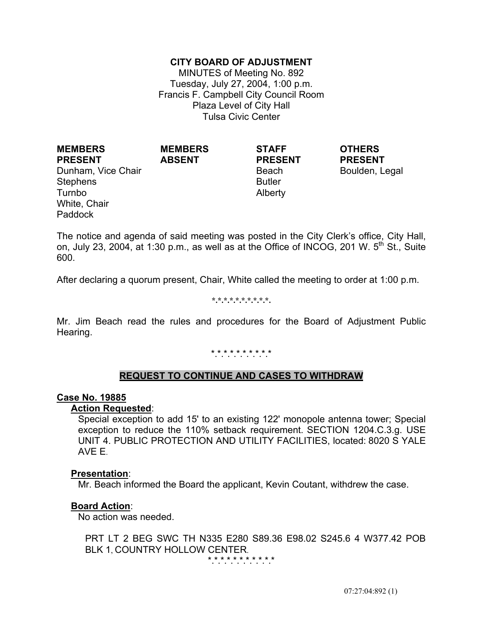## **CITY BOARD OF ADJUSTMENT**

MINUTES of Meeting No. 892 Tuesday, July 27, 2004, 1:00 p.m. Francis F. Campbell City Council Room Plaza Level of City Hall Tulsa Civic Center

**PRESENT** Dunham, Vice Chair **Beach** Beach Boulden, Legal Stephens Turnbo White, Chair Paddock

**MEMBERS** 

**MEMBERS ABSENT**

**STAFF PRESENT**

 Butler Alberty **OTHERS PRESENT**

The notice and agenda of said meeting was posted in the City Clerk's office, City Hall, on, July 23, 2004, at 1:30 p.m., as well as at the Office of INCOG, 201 W.  $5<sup>th</sup>$  St., Suite 600.

After declaring a quorum present, Chair, White called the meeting to order at 1:00 p.m.

#### **\*.\*.\*.\*.\*.\*.\*.\*.\*.\*.**

Mr. Jim Beach read the rules and procedures for the Board of Adjustment Public Hearing.

#### \*\*\*\*\*\*\*\*\*\*

### **REQUEST TO CONTINUE AND CASES TO WITHDRAW**

#### **Case No. 19885**

#### **Action Requested**:

 Special exception to add 15' to an existing 122' monopole antenna tower; Special exception to reduce the 110% setback requirement. SECTION 1204.C.3.g. USE UNIT 4. PUBLIC PROTECTION AND UTILITY FACILITIES, located: 8020 S YALE AVE E.

#### **Presentation**:

Mr. Beach informed the Board the applicant, Kevin Coutant, withdrew the case.

#### **Board Action**:

No action was needed.

PRT LT 2 BEG SWC TH N335 E280 S89.36 E98.02 S245.6 4 W377.42 POB BLK 1, COUNTRY HOLLOW CENTER.

\*.\*.\*.\*.\*.\*.\*.\*.\*.\*.\*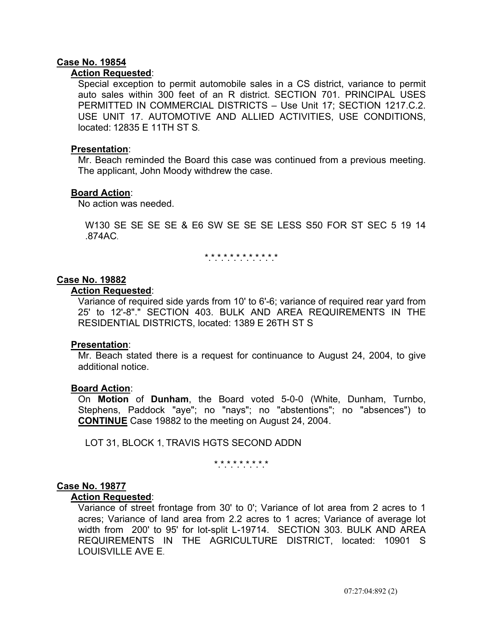## **Case No. 19854**

#### **Action Requested**:

Special exception to permit automobile sales in a CS district, variance to permit auto sales within 300 feet of an R district. SECTION 701. PRINCIPAL USES PERMITTED IN COMMERCIAL DISTRICTS – Use Unit 17; SECTION 1217.C.2. USE UNIT 17. AUTOMOTIVE AND ALLIED ACTIVITIES, USE CONDITIONS, located: 12835 E 11TH ST S.

#### **Presentation**:

 Mr. Beach reminded the Board this case was continued from a previous meeting. The applicant, John Moody withdrew the case.

#### **Board Action**:

No action was needed.

W130 SE SE SE SE & E6 SW SE SE SE LESS S50 FOR ST SEC 5 19 14 .874AC.

\*\*\*\*\*\*\*\*\*\*\*\*

#### **Case No. 19882**

#### **Action Requested**:

 Variance of required side yards from 10' to 6'-6; variance of required rear yard from 25' to 12'-8"." SECTION 403. BULK AND AREA REQUIREMENTS IN THE RESIDENTIAL DISTRICTS, located: 1389 E 26TH ST S

#### **Presentation**:

 Mr. Beach stated there is a request for continuance to August 24, 2004, to give additional notice.

#### **Board Action**:

 On **Motion** of **Dunham**, the Board voted 5-0-0 (White, Dunham, Turnbo, Stephens, Paddock "aye"; no "nays"; no "abstentions"; no "absences") to **CONTINUE** Case 19882 to the meeting on August 24, 2004.

LOT 31, BLOCK 1, TRAVIS HGTS SECOND ADDN

\*.\*.\*.\*.\*.\*.\*.\*.\*

#### **Case No. 19877**

#### **Action Requested**:

Variance of street frontage from 30' to 0'; Variance of lot area from 2 acres to 1 acres; Variance of land area from 2.2 acres to 1 acres; Variance of average lot width from 200' to 95' for lot-split L-19714. SECTION 303. BULK AND AREA REQUIREMENTS IN THE AGRICULTURE DISTRICT, located: 10901 S LOUISVILLE AVE E.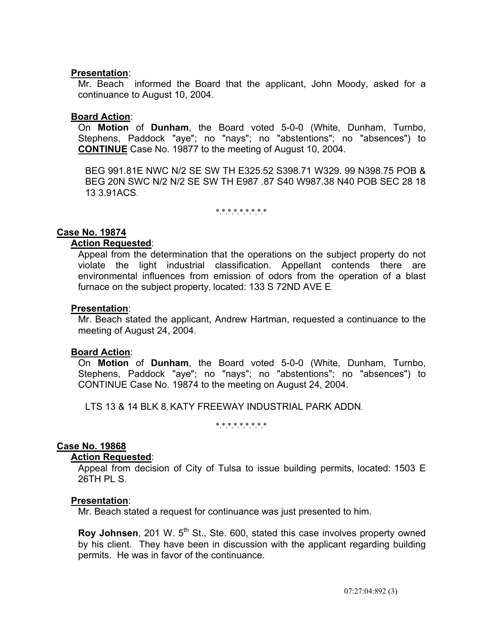Mr. Beach informed the Board that the applicant, John Moody, asked for a continuance to August 10, 2004.

#### **Board Action**:

 On **Motion** of **Dunham**, the Board voted 5-0-0 (White, Dunham, Turnbo, Stephens, Paddock "aye"; no "nays"; no "abstentions"; no "absences") to **CONTINUE** Case No. 19877 to the meeting of August 10, 2004.

BEG 991.81E NWC N/2 SE SW TH E325.52 S398.71 W329. 99 N398.75 POB & BEG 20N SWC N/2 N/2 SE SW TH E987 .87 S40 W987.38 N40 POB SEC 28 18 13 3.91ACS.

\*\*\*\*\*\*\*\*\*

#### **Case No. 19874**

### **Action Requested**:

 Appeal from the determination that the operations on the subject property do not violate the light industrial classification. Appellant contends there are environmental influences from emission of odors from the operation of a blast furnace on the subject property, located: 133 S 72ND AVE E.

#### **Presentation**:

 Mr. Beach stated the applicant, Andrew Hartman, requested a continuance to the meeting of August 24, 2004.

#### **Board Action**:

 On **Motion** of **Dunham**, the Board voted 5-0-0 (White, Dunham, Turnbo, Stephens, Paddock "aye"; no "nays"; no "abstentions"; no "absences") to CONTINUE Case No. 19874 to the meeting on August 24, 2004.

LTS 13 & 14 BLK 8, KATY FREEWAY INDUSTRIAL PARK ADDN.

\*\*\*\*\*\*\*\*\*

### **Case No. 19868**

#### **Action Requested**:

Appeal from decision of City of Tulsa to issue building permits, located: 1503 E 26TH PL S.

#### **Presentation**:

Mr. Beach stated a request for continuance was just presented to him.

**Roy Johnsen**, 201 W. 5<sup>th</sup> St., Ste. 600, stated this case involves property owned by his client. They have been in discussion with the applicant regarding building permits. He was in favor of the continuance.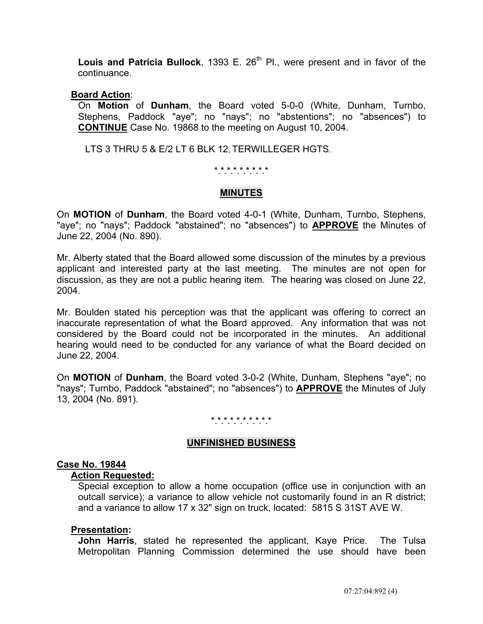Louis and Patricia Bullock, 1393 E. 26<sup>th</sup> Pl., were present and in favor of the continuance.

### **Board Action**:

 On **Motion** of **Dunham**, the Board voted 5-0-0 (White, Dunham, Turnbo, Stephens, Paddock "aye"; no "nays"; no "abstentions"; no "absences") to **CONTINUE** Case No. 19868 to the meeting on August 10, 2004.

LTS 3 THRU 5 & E/2 LT 6 BLK 12, TERWILLEGER HGTS.

## \*.\*.\*.\*.\*.\*.\*.\*.\*

## **MINUTES**

On **MOTION** of **Dunham**, the Board voted 4-0-1 (White, Dunham, Turnbo, Stephens, "aye"; no "nays"; Paddock "abstained"; no "absences") to **APPROVE** the Minutes of June 22, 2004 (No. 890).

Mr. Alberty stated that the Board allowed some discussion of the minutes by a previous applicant and interested party at the last meeting. The minutes are not open for discussion, as they are not a public hearing item. The hearing was closed on June 22, 2004.

Mr. Boulden stated his perception was that the applicant was offering to correct an inaccurate representation of what the Board approved. Any information that was not considered by the Board could not be incorporated in the minutes. An additional hearing would need to be conducted for any variance of what the Board decided on June 22, 2004.

On **MOTION** of **Dunham**, the Board voted 3-0-2 (White, Dunham, Stephens "aye"; no "nays"; Turnbo, Paddock "abstained"; no "absences") to **APPROVE** the Minutes of July 13, 2004 (No. 891).

#### \*.\*.\*.\*.\*.\*.\*.\*.\*.\*

### **UNFINISHED BUSINESS**

### **Case No. 19844**

### **Action Requested:**

 Special exception to allow a home occupation (office use in conjunction with an outcall service); a variance to allow vehicle not customarily found in an R district; and a variance to allow 17 x 32" sign on truck, located: 5815 S 31ST AVE W.

### **Presentation:**

 **John Harris**, stated he represented the applicant, Kaye Price. The Tulsa Metropolitan Planning Commission determined the use should have been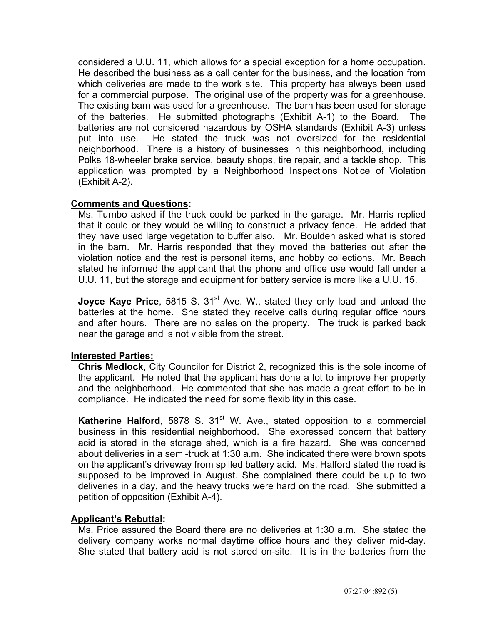considered a U.U. 11, which allows for a special exception for a home occupation. He described the business as a call center for the business, and the location from which deliveries are made to the work site. This property has always been used for a commercial purpose. The original use of the property was for a greenhouse. The existing barn was used for a greenhouse. The barn has been used for storage of the batteries. He submitted photographs (Exhibit A-1) to the Board. The batteries are not considered hazardous by OSHA standards (Exhibit A-3) unless put into use. He stated the truck was not oversized for the residential neighborhood. There is a history of businesses in this neighborhood, including Polks 18-wheeler brake service, beauty shops, tire repair, and a tackle shop. This application was prompted by a Neighborhood Inspections Notice of Violation (Exhibit A-2).

# **Comments and Questions:**

 Ms. Turnbo asked if the truck could be parked in the garage. Mr. Harris replied that it could or they would be willing to construct a privacy fence. He added that they have used large vegetation to buffer also. Mr. Boulden asked what is stored in the barn. Mr. Harris responded that they moved the batteries out after the violation notice and the rest is personal items, and hobby collections. Mr. Beach stated he informed the applicant that the phone and office use would fall under a U.U. 11, but the storage and equipment for battery service is more like a U.U. 15.

**Joyce Kaye Price**, 5815 S. 31<sup>st</sup> Ave. W., stated they only load and unload the batteries at the home. She stated they receive calls during regular office hours and after hours. There are no sales on the property. The truck is parked back near the garage and is not visible from the street.

## **Interested Parties:**

 **Chris Medlock**, City Councilor for District 2, recognized this is the sole income of the applicant. He noted that the applicant has done a lot to improve her property and the neighborhood. He commented that she has made a great effort to be in compliance. He indicated the need for some flexibility in this case.

**Katherine Halford**, 5878 S. 31<sup>st</sup> W. Ave., stated opposition to a commercial business in this residential neighborhood. She expressed concern that battery acid is stored in the storage shed, which is a fire hazard. She was concerned about deliveries in a semi-truck at 1:30 a.m. She indicated there were brown spots on the applicant's driveway from spilled battery acid. Ms. Halford stated the road is supposed to be improved in August. She complained there could be up to two deliveries in a day, and the heavy trucks were hard on the road. She submitted a petition of opposition (Exhibit A-4).

# **Applicant's Rebuttal:**

 Ms. Price assured the Board there are no deliveries at 1:30 a.m. She stated the delivery company works normal daytime office hours and they deliver mid-day. She stated that battery acid is not stored on-site. It is in the batteries from the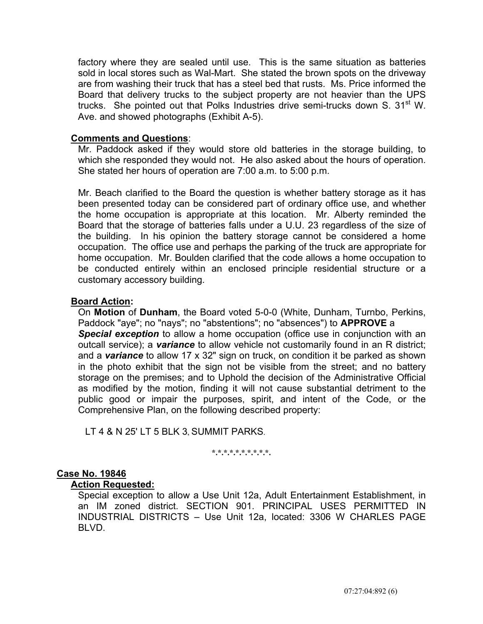factory where they are sealed until use. This is the same situation as batteries sold in local stores such as Wal-Mart. She stated the brown spots on the driveway are from washing their truck that has a steel bed that rusts. Ms. Price informed the Board that delivery trucks to the subject property are not heavier than the UPS trucks. She pointed out that Polks Industries drive semi-trucks down S.  $31<sup>st</sup>$  W. Ave. and showed photographs (Exhibit A-5).

## **Comments and Questions**:

 Mr. Paddock asked if they would store old batteries in the storage building, to which she responded they would not. He also asked about the hours of operation. She stated her hours of operation are 7:00 a.m. to 5:00 p.m.

 Mr. Beach clarified to the Board the question is whether battery storage as it has been presented today can be considered part of ordinary office use, and whether the home occupation is appropriate at this location. Mr. Alberty reminded the Board that the storage of batteries falls under a U.U. 23 regardless of the size of the building. In his opinion the battery storage cannot be considered a home occupation. The office use and perhaps the parking of the truck are appropriate for home occupation. Mr. Boulden clarified that the code allows a home occupation to be conducted entirely within an enclosed principle residential structure or a customary accessory building.

## **Board Action:**

On **Motion** of **Dunham**, the Board voted 5-0-0 (White, Dunham, Turnbo, Perkins, Paddock "aye"; no "nays"; no "abstentions"; no "absences") to **APPROVE** a **Special exception** to allow a home occupation (office use in conjunction with an outcall service); a *variance* to allow vehicle not customarily found in an R district; and a *variance* to allow 17 x 32" sign on truck, on condition it be parked as shown in the photo exhibit that the sign not be visible from the street; and no battery storage on the premises; and to Uphold the decision of the Administrative Official as modified by the motion, finding it will not cause substantial detriment to the public good or impair the purposes, spirit, and intent of the Code, or the Comprehensive Plan, on the following described property:

LT 4 & N 25' LT 5 BLK 3, SUMMIT PARKS.

#### **\*.\*.\*.\*.\*.\*.\*.\*.\*.\*.**

## **Case No. 19846**

### **Action Requested:**

 Special exception to allow a Use Unit 12a, Adult Entertainment Establishment, in an IM zoned district. SECTION 901. PRINCIPAL USES PERMITTED IN INDUSTRIAL DISTRICTS – Use Unit 12a, located: 3306 W CHARLES PAGE BLVD.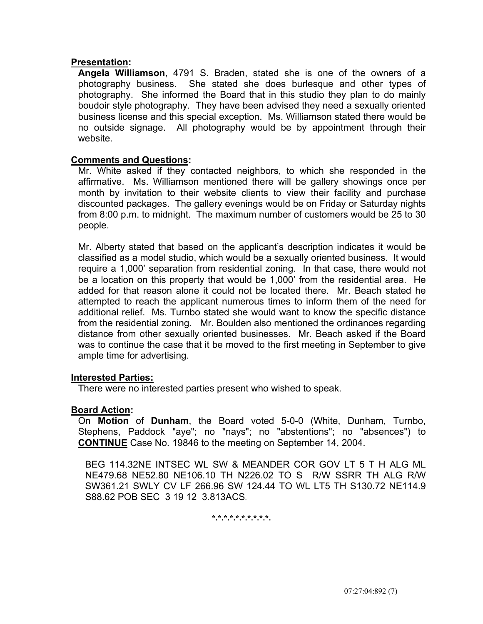**Angela Williamson**, 4791 S. Braden, stated she is one of the owners of a photography business. She stated she does burlesque and other types of photography. She informed the Board that in this studio they plan to do mainly boudoir style photography. They have been advised they need a sexually oriented business license and this special exception. Ms. Williamson stated there would be no outside signage. All photography would be by appointment through their website.

## **Comments and Questions:**

 Mr. White asked if they contacted neighbors, to which she responded in the affirmative. Ms. Williamson mentioned there will be gallery showings once per month by invitation to their website clients to view their facility and purchase discounted packages. The gallery evenings would be on Friday or Saturday nights from 8:00 p.m. to midnight. The maximum number of customers would be 25 to 30 people.

 Mr. Alberty stated that based on the applicant's description indicates it would be classified as a model studio, which would be a sexually oriented business. It would require a 1,000' separation from residential zoning. In that case, there would not be a location on this property that would be 1,000' from the residential area. He added for that reason alone it could not be located there. Mr. Beach stated he attempted to reach the applicant numerous times to inform them of the need for additional relief. Ms. Turnbo stated she would want to know the specific distance from the residential zoning. Mr. Boulden also mentioned the ordinances regarding distance from other sexually oriented businesses. Mr. Beach asked if the Board was to continue the case that it be moved to the first meeting in September to give ample time for advertising.

### **Interested Parties:**

There were no interested parties present who wished to speak.

### **Board Action:**

On **Motion** of **Dunham**, the Board voted 5-0-0 (White, Dunham, Turnbo, Stephens, Paddock "aye"; no "nays"; no "abstentions"; no "absences") to **CONTINUE** Case No. 19846 to the meeting on September 14, 2004.

BEG 114.32NE INTSEC WL SW & MEANDER COR GOV LT 5 T H ALG ML NE479.68 NE52.80 NE106.10 TH N226.02 TO S R/W SSRR TH ALG R/W SW361.21 SWLY CV LF 266.96 SW 124.44 TO WL LT5 TH S130.72 NE114.9 S88.62 POB SEC 3 19 12 3.813ACS.

**\*.\*.\*.\*.\*.\*.\*.\*.\*.\*.**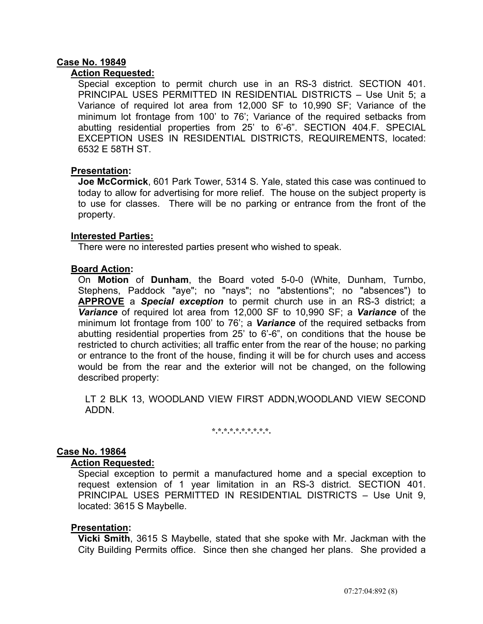# **Case No. 19849**

## **Action Requested:**

 Special exception to permit church use in an RS-3 district. SECTION 401. PRINCIPAL USES PERMITTED IN RESIDENTIAL DISTRICTS – Use Unit 5; a Variance of required lot area from 12,000 SF to 10,990 SF; Variance of the minimum lot frontage from 100' to 76'; Variance of the required setbacks from abutting residential properties from 25' to 6'-6". SECTION 404.F. SPECIAL EXCEPTION USES IN RESIDENTIAL DISTRICTS, REQUIREMENTS, located: 6532 E 58TH ST.

## **Presentation:**

 **Joe McCormick**, 601 Park Tower, 5314 S. Yale, stated this case was continued to today to allow for advertising for more relief. The house on the subject property is to use for classes. There will be no parking or entrance from the front of the property.

### **Interested Parties:**

There were no interested parties present who wished to speak.

## **Board Action:**

On **Motion** of **Dunham**, the Board voted 5-0-0 (White, Dunham, Turnbo, Stephens, Paddock "aye"; no "nays"; no "abstentions"; no "absences") to **APPROVE** a *Special exception* to permit church use in an RS-3 district; a *Variance* of required lot area from 12,000 SF to 10,990 SF; a *Variance* of the minimum lot frontage from 100' to 76'; a *Variance* of the required setbacks from abutting residential properties from 25' to 6'-6", on conditions that the house be restricted to church activities; all traffic enter from the rear of the house; no parking or entrance to the front of the house, finding it will be for church uses and access would be from the rear and the exterior will not be changed, on the following described property:

 LT 2 BLK 13, WOODLAND VIEW FIRST ADDN,WOODLAND VIEW SECOND ADDN.

**\*.\*.\*.\*.\*.\*.\*.\*.\*.\*.** 

### **Case No. 19864**

### **Action Requested:**

 Special exception to permit a manufactured home and a special exception to request extension of 1 year limitation in an RS-3 district. SECTION 401. PRINCIPAL USES PERMITTED IN RESIDENTIAL DISTRICTS – Use Unit 9, located: 3615 S Maybelle.

### **Presentation:**

 **Vicki Smith**, 3615 S Maybelle, stated that she spoke with Mr. Jackman with the City Building Permits office. Since then she changed her plans. She provided a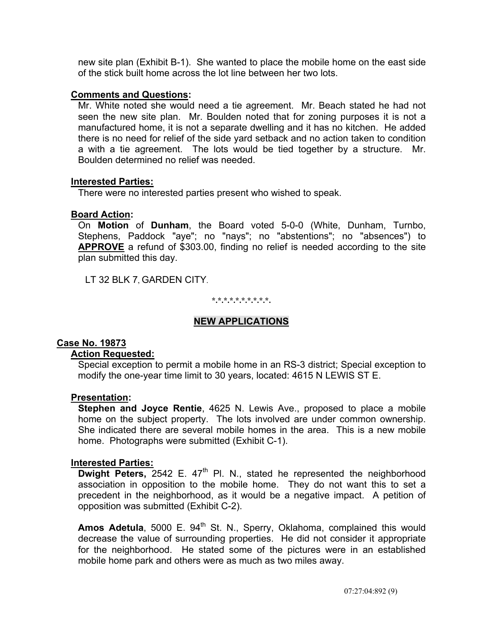new site plan (Exhibit B-1). She wanted to place the mobile home on the east side of the stick built home across the lot line between her two lots.

### **Comments and Questions:**

 Mr. White noted she would need a tie agreement. Mr. Beach stated he had not seen the new site plan. Mr. Boulden noted that for zoning purposes it is not a manufactured home, it is not a separate dwelling and it has no kitchen. He added there is no need for relief of the side yard setback and no action taken to condition a with a tie agreement. The lots would be tied together by a structure. Mr. Boulden determined no relief was needed.

## **Interested Parties:**

There were no interested parties present who wished to speak.

## **Board Action:**

 On **Motion** of **Dunham**, the Board voted 5-0-0 (White, Dunham, Turnbo, Stephens, Paddock "aye"; no "nays"; no "abstentions"; no "absences") to **APPROVE** a refund of \$303.00, finding no relief is needed according to the site plan submitted this day.

LT 32 BLK 7, GARDEN CITY.

**\*.\*.\*.\*.\*.\*.\*.\*.\*.\*.** 

# **NEW APPLICATIONS**

### **Case No. 19873**

## **Action Requested:**

 Special exception to permit a mobile home in an RS-3 district; Special exception to modify the one-year time limit to 30 years, located: 4615 N LEWIS ST E.

### **Presentation:**

 **Stephen and Joyce Rentie**, 4625 N. Lewis Ave., proposed to place a mobile home on the subject property. The lots involved are under common ownership. She indicated there are several mobile homes in the area. This is a new mobile home. Photographs were submitted (Exhibit C-1).

### **Interested Parties:**

**Dwight Peters,** 2542 E. 47<sup>th</sup> Pl. N., stated he represented the neighborhood association in opposition to the mobile home. They do not want this to set a precedent in the neighborhood, as it would be a negative impact. A petition of opposition was submitted (Exhibit C-2).

Amos Adetula, 5000 E. 94<sup>th</sup> St. N., Sperry, Oklahoma, complained this would decrease the value of surrounding properties. He did not consider it appropriate for the neighborhood. He stated some of the pictures were in an established mobile home park and others were as much as two miles away.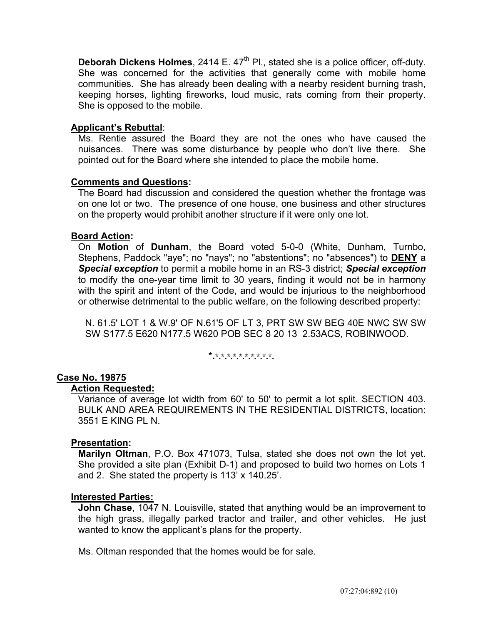**Deborah Dickens Holmes**, 2414 E. 47<sup>th</sup> Pl., stated she is a police officer, off-duty. She was concerned for the activities that generally come with mobile home communities. She has already been dealing with a nearby resident burning trash, keeping horses, lighting fireworks, loud music, rats coming from their property. She is opposed to the mobile.

## **Applicant's Rebuttal**:

Ms. Rentie assured the Board they are not the ones who have caused the nuisances. There was some disturbance by people who don't live there. She pointed out for the Board where she intended to place the mobile home.

## **Comments and Questions:**

 The Board had discussion and considered the question whether the frontage was on one lot or two. The presence of one house, one business and other structures on the property would prohibit another structure if it were only one lot.

## **Board Action:**

On **Motion** of **Dunham**, the Board voted 5-0-0 (White, Dunham, Turnbo, Stephens, Paddock "aye"; no "nays"; no "abstentions"; no "absences") to **DENY** a *Special exception* to permit a mobile home in an RS-3 district; *Special exception* to modify the one-year time limit to 30 years, finding it would not be in harmony with the spirit and intent of the Code, and would be injurious to the neighborhood or otherwise detrimental to the public welfare, on the following described property:

 N. 61.5' LOT 1 & W.9' OF N.61'5 OF LT 3, PRT SW SW BEG 40E NWC SW SW SW S177.5 E620 N177.5 W620 POB SEC 8 20 13 2.53ACS, ROBINWOOD.

**\*.\*.\*.\*.\*.\*.\*.\*.\*.\*.\*.** 

# **Case No. 19875**

## **Action Requested:**

 Variance of average lot width from 60' to 50' to permit a lot split. SECTION 403. BULK AND AREA REQUIREMENTS IN THE RESIDENTIAL DISTRICTS, location: 3551 E KING PL N.

## **Presentation:**

 **Marilyn Oltman**, P.O. Box 471073, Tulsa, stated she does not own the lot yet. She provided a site plan (Exhibit D-1) and proposed to build two homes on Lots 1 and 2. She stated the property is 113' x 140.25'.

## **Interested Parties:**

 **John Chase**, 1047 N. Louisville, stated that anything would be an improvement to the high grass, illegally parked tractor and trailer, and other vehicles. He just wanted to know the applicant's plans for the property.

Ms. Oltman responded that the homes would be for sale.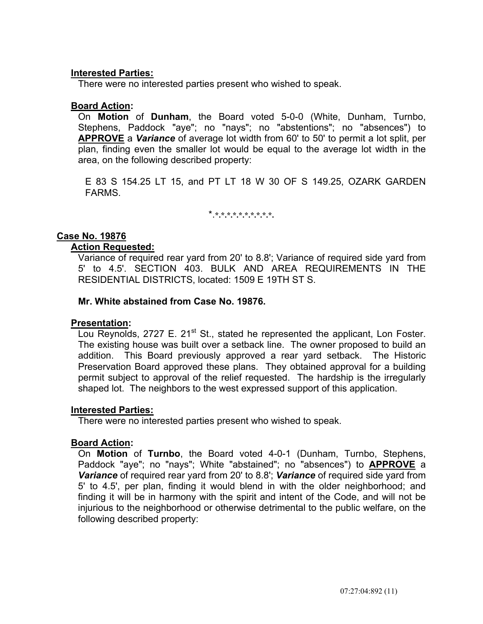## **Interested Parties:**

There were no interested parties present who wished to speak.

## **Board Action:**

 On **Motion** of **Dunham**, the Board voted 5-0-0 (White, Dunham, Turnbo, Stephens, Paddock "aye"; no "nays"; no "abstentions"; no "absences") to **APPROVE** a *Variance* of average lot width from 60' to 50' to permit a lot split, per plan, finding even the smaller lot would be equal to the average lot width in the area, on the following described property:

 E 83 S 154.25 LT 15, and PT LT 18 W 30 OF S 149.25, OZARK GARDEN FARMS.

\*.**\*.\*.\*.\*.\*.\*.\*.\*.\*.\*.** 

## **Case No. 19876**

### **Action Requested:**

 Variance of required rear yard from 20' to 8.8'; Variance of required side yard from 5' to 4.5'. SECTION 403. BULK AND AREA REQUIREMENTS IN THE RESIDENTIAL DISTRICTS, located: 1509 E 19TH ST S.

### **Mr. White abstained from Case No. 19876.**

### **Presentation:**

Lou Reynolds, 2727 E. 21<sup>st</sup> St., stated he represented the applicant, Lon Foster. The existing house was built over a setback line. The owner proposed to build an addition. This Board previously approved a rear yard setback. The Historic Preservation Board approved these plans. They obtained approval for a building permit subject to approval of the relief requested. The hardship is the irregularly shaped lot. The neighbors to the west expressed support of this application.

### **Interested Parties:**

There were no interested parties present who wished to speak.

### **Board Action:**

 On **Motion** of **Turnbo**, the Board voted 4-0-1 (Dunham, Turnbo, Stephens, Paddock "aye"; no "nays"; White "abstained"; no "absences") to **APPROVE** a *Variance* of required rear yard from 20' to 8.8'; *Variance* of required side yard from 5' to 4.5', per plan, finding it would blend in with the older neighborhood; and finding it will be in harmony with the spirit and intent of the Code, and will not be injurious to the neighborhood or otherwise detrimental to the public welfare, on the following described property: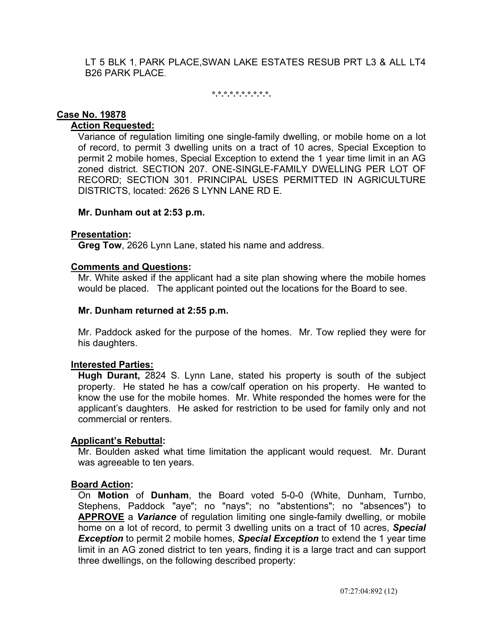LT 5 BLK 1, PARK PLACE,SWAN LAKE ESTATES RESUB PRT L3 & ALL LT4 B26 PARK PLACE.

**\*.\*.\*.\*.\*.\*.\*.\*.\*.\*.** 

## **Case No. 19878**

## **Action Requested:**

 Variance of regulation limiting one single-family dwelling, or mobile home on a lot of record, to permit 3 dwelling units on a tract of 10 acres, Special Exception to permit 2 mobile homes, Special Exception to extend the 1 year time limit in an AG zoned district. SECTION 207. ONE-SINGLE-FAMILY DWELLING PER LOT OF RECORD; SECTION 301. PRINCIPAL USES PERMITTED IN AGRICULTURE DISTRICTS, located: 2626 S LYNN LANE RD E.

## **Mr. Dunham out at 2:53 p.m.**

## **Presentation:**

**Greg Tow**, 2626 Lynn Lane, stated his name and address.

## **Comments and Questions:**

 Mr. White asked if the applicant had a site plan showing where the mobile homes would be placed. The applicant pointed out the locations for the Board to see.

### **Mr. Dunham returned at 2:55 p.m.**

 Mr. Paddock asked for the purpose of the homes. Mr. Tow replied they were for his daughters.

## **Interested Parties:**

 **Hugh Durant,** 2824 S. Lynn Lane, stated his property is south of the subject property. He stated he has a cow/calf operation on his property. He wanted to know the use for the mobile homes. Mr. White responded the homes were for the applicant's daughters. He asked for restriction to be used for family only and not commercial or renters.

### **Applicant's Rebuttal:**

 Mr. Boulden asked what time limitation the applicant would request. Mr. Durant was agreeable to ten years.

### **Board Action:**

 On **Motion** of **Dunham**, the Board voted 5-0-0 (White, Dunham, Turnbo, Stephens, Paddock "aye"; no "nays"; no "abstentions"; no "absences") to **APPROVE** a *Variance* of regulation limiting one single-family dwelling, or mobile home on a lot of record, to permit 3 dwelling units on a tract of 10 acres, *Special Exception* to permit 2 mobile homes, *Special Exception* to extend the 1 year time limit in an AG zoned district to ten years, finding it is a large tract and can support three dwellings, on the following described property: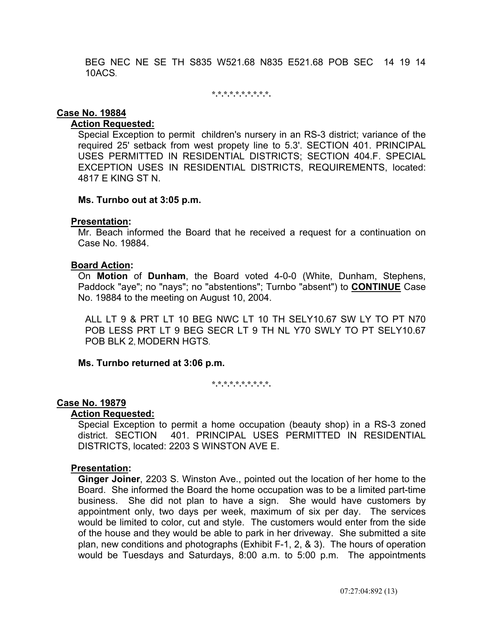BEG NEC NE SE TH S835 W521.68 N835 E521.68 POB SEC 14 19 14 10ACS.

**\*.\*.\*.\*.\*.\*.\*.\*.\*.\*.** 

#### **Case No. 19884**

#### **Action Requested:**

 Special Exception to permit children's nursery in an RS-3 district; variance of the required 25' setback from west propety line to 5.3'. SECTION 401. PRINCIPAL USES PERMITTED IN RESIDENTIAL DISTRICTS; SECTION 404.F. SPECIAL EXCEPTION USES IN RESIDENTIAL DISTRICTS, REQUIREMENTS, located: 4817 E KING ST N.

#### **Ms. Turnbo out at 3:05 p.m.**

#### **Presentation:**

 Mr. Beach informed the Board that he received a request for a continuation on Case No. 19884.

#### **Board Action:**

 On **Motion** of **Dunham**, the Board voted 4-0-0 (White, Dunham, Stephens, Paddock "aye"; no "nays"; no "abstentions"; Turnbo "absent") to **CONTINUE** Case No. 19884 to the meeting on August 10, 2004.

ALL LT 9 & PRT LT 10 BEG NWC LT 10 TH SELY10.67 SW LY TO PT N70 POB LESS PRT LT 9 BEG SECR LT 9 TH NL Y70 SWLY TO PT SELY10.67 POB BLK 2, MODERN HGTS.

### **Ms. Turnbo returned at 3:06 p.m.**

**\*.\*.\*.\*.\*.\*.\*.\*.\*.\*.** 

### **Case No. 19879**

#### **Action Requested:**

 Special Exception to permit a home occupation (beauty shop) in a RS-3 zoned district. SECTION 401. PRINCIPAL USES PERMITTED IN RESIDENTIAL DISTRICTS, located: 2203 S WINSTON AVE E.

### **Presentation:**

 **Ginger Joiner**, 2203 S. Winston Ave., pointed out the location of her home to the Board. She informed the Board the home occupation was to be a limited part-time business. She did not plan to have a sign. She would have customers by appointment only, two days per week, maximum of six per day. The services would be limited to color, cut and style. The customers would enter from the side of the house and they would be able to park in her driveway. She submitted a site plan, new conditions and photographs (Exhibit F-1, 2, & 3). The hours of operation would be Tuesdays and Saturdays, 8:00 a.m. to 5:00 p.m. The appointments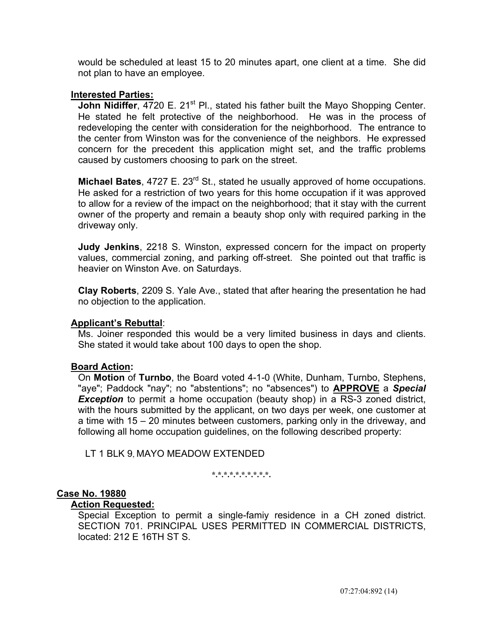would be scheduled at least 15 to 20 minutes apart, one client at a time. She did not plan to have an employee.

### **Interested Parties:**

**John Nidiffer, 4720 E. 21<sup>st</sup> Pl., stated his father built the Mayo Shopping Center.** He stated he felt protective of the neighborhood. He was in the process of redeveloping the center with consideration for the neighborhood. The entrance to the center from Winston was for the convenience of the neighbors. He expressed concern for the precedent this application might set, and the traffic problems caused by customers choosing to park on the street.

**Michael Bates**, 4727 E. 23<sup>rd</sup> St., stated he usually approved of home occupations. He asked for a restriction of two years for this home occupation if it was approved to allow for a review of the impact on the neighborhood; that it stay with the current owner of the property and remain a beauty shop only with required parking in the driveway only.

 **Judy Jenkins**, 2218 S. Winston, expressed concern for the impact on property values, commercial zoning, and parking off-street. She pointed out that traffic is heavier on Winston Ave. on Saturdays.

 **Clay Roberts**, 2209 S. Yale Ave., stated that after hearing the presentation he had no objection to the application.

### **Applicant's Rebuttal**:

 Ms. Joiner responded this would be a very limited business in days and clients. She stated it would take about 100 days to open the shop.

### **Board Action:**

 On **Motion** of **Turnbo**, the Board voted 4-1-0 (White, Dunham, Turnbo, Stephens, "aye"; Paddock "nay"; no "abstentions"; no "absences") to **APPROVE** a *Special*  **Exception** to permit a home occupation (beauty shop) in a RS-3 zoned district, with the hours submitted by the applicant, on two days per week, one customer at a time with 15 – 20 minutes between customers, parking only in the driveway, and following all home occupation guidelines, on the following described property:

LT 1 BLK 9, MAYO MEADOW EXTENDED

**\*.\*.\*.\*.\*.\*.\*.\*.\*.\*.** 

### **Case No. 19880**

#### **Action Requested:**

 Special Exception to permit a single-famiy residence in a CH zoned district. SECTION 701. PRINCIPAL USES PERMITTED IN COMMERCIAL DISTRICTS. located: 212 E 16TH ST S.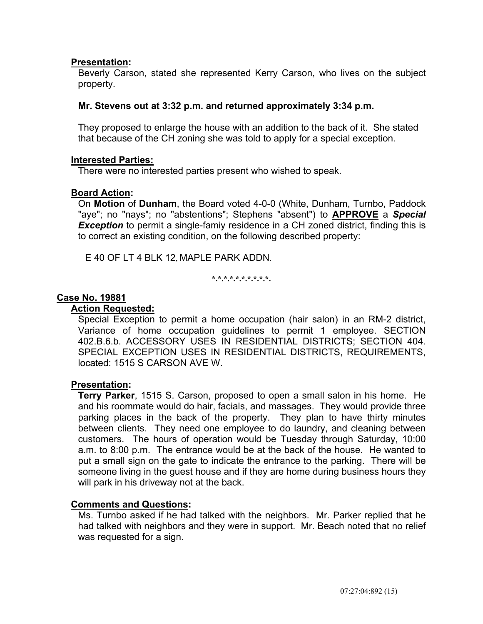Beverly Carson, stated she represented Kerry Carson, who lives on the subject property.

## **Mr. Stevens out at 3:32 p.m. and returned approximately 3:34 p.m.**

 They proposed to enlarge the house with an addition to the back of it. She stated that because of the CH zoning she was told to apply for a special exception.

### **Interested Parties:**

There were no interested parties present who wished to speak.

## **Board Action:**

 On **Motion** of **Dunham**, the Board voted 4-0-0 (White, Dunham, Turnbo, Paddock "aye"; no "nays"; no "abstentions"; Stephens "absent") to **APPROVE** a *Special*  **Exception** to permit a single-famiy residence in a CH zoned district, finding this is to correct an existing condition, on the following described property:

E 40 OF LT 4 BLK 12, MAPLE PARK ADDN.

**\*.\*.\*.\*.\*.\*.\*.\*.\*.\*.** 

## **Case No. 19881**

### **Action Requested:**

Special Exception to permit a home occupation (hair salon) in an RM-2 district, Variance of home occupation guidelines to permit 1 employee. SECTION 402.B.6.b. ACCESSORY USES IN RESIDENTIAL DISTRICTS; SECTION 404. SPECIAL EXCEPTION USES IN RESIDENTIAL DISTRICTS, REQUIREMENTS, located: 1515 S CARSON AVE W.

### **Presentation:**

 **Terry Parker**, 1515 S. Carson, proposed to open a small salon in his home. He and his roommate would do hair, facials, and massages. They would provide three parking places in the back of the property. They plan to have thirty minutes between clients. They need one employee to do laundry, and cleaning between customers. The hours of operation would be Tuesday through Saturday, 10:00 a.m. to 8:00 p.m. The entrance would be at the back of the house. He wanted to put a small sign on the gate to indicate the entrance to the parking. There will be someone living in the guest house and if they are home during business hours they will park in his driveway not at the back.

# **Comments and Questions:**

 Ms. Turnbo asked if he had talked with the neighbors. Mr. Parker replied that he had talked with neighbors and they were in support. Mr. Beach noted that no relief was requested for a sign.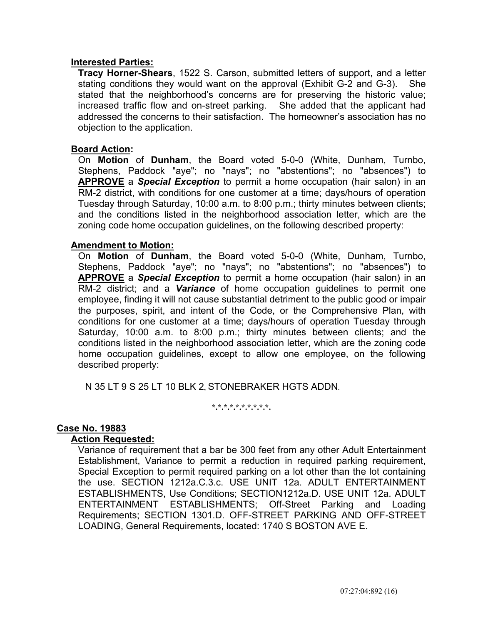### **Interested Parties:**

 **Tracy Horner-Shears**, 1522 S. Carson, submitted letters of support, and a letter stating conditions they would want on the approval (Exhibit G-2 and G-3). She stated that the neighborhood's concerns are for preserving the historic value; increased traffic flow and on-street parking. She added that the applicant had addressed the concerns to their satisfaction. The homeowner's association has no objection to the application.

### **Board Action:**

 On **Motion** of **Dunham**, the Board voted 5-0-0 (White, Dunham, Turnbo, Stephens, Paddock "aye"; no "nays"; no "abstentions"; no "absences") to **APPROVE** a *Special Exception* to permit a home occupation (hair salon) in an RM-2 district, with conditions for one customer at a time; days/hours of operation Tuesday through Saturday, 10:00 a.m. to 8:00 p.m.; thirty minutes between clients; and the conditions listed in the neighborhood association letter, which are the zoning code home occupation guidelines, on the following described property:

### **Amendment to Motion:**

 On **Motion** of **Dunham**, the Board voted 5-0-0 (White, Dunham, Turnbo, Stephens, Paddock "aye"; no "nays"; no "abstentions"; no "absences") to **APPROVE** a *Special Exception* to permit a home occupation (hair salon) in an RM-2 district; and a *Variance* of home occupation guidelines to permit one employee, finding it will not cause substantial detriment to the public good or impair the purposes, spirit, and intent of the Code, or the Comprehensive Plan, with conditions for one customer at a time; days/hours of operation Tuesday through Saturday, 10:00 a.m. to 8:00 p.m.; thirty minutes between clients; and the conditions listed in the neighborhood association letter, which are the zoning code home occupation guidelines, except to allow one employee, on the following described property:

N 35 LT 9 S 25 LT 10 BLK 2, STONEBRAKER HGTS ADDN.

**\*.\*.\*.\*.\*.\*.\*.\*.\*.\*.** 

## **Case No. 19883**

### **Action Requested:**

 Variance of requirement that a bar be 300 feet from any other Adult Entertainment Establishment, Variance to permit a reduction in required parking requirement, Special Exception to permit required parking on a lot other than the lot containing the use. SECTION 1212a.C.3.c. USE UNIT 12a. ADULT ENTERTAINMENT ESTABLISHMENTS, Use Conditions; SECTION1212a.D. USE UNIT 12a. ADULT ENTERTAINMENT ESTABLISHMENTS; Off-Street Parking and Loading Requirements; SECTION 1301.D. OFF-STREET PARKING AND OFF-STREET LOADING, General Requirements, located: 1740 S BOSTON AVE E.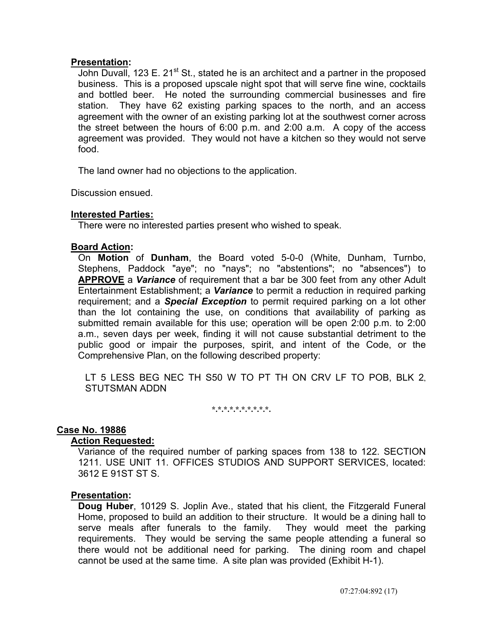John Duvall, 123 E. 21<sup>st</sup> St., stated he is an architect and a partner in the proposed business. This is a proposed upscale night spot that will serve fine wine, cocktails and bottled beer. He noted the surrounding commercial businesses and fire station. They have 62 existing parking spaces to the north, and an access agreement with the owner of an existing parking lot at the southwest corner across the street between the hours of 6:00 p.m. and 2:00 a.m. A copy of the access agreement was provided. They would not have a kitchen so they would not serve food.

The land owner had no objections to the application.

Discussion ensued.

## **Interested Parties:**

There were no interested parties present who wished to speak.

### **Board Action:**

 On **Motion** of **Dunham**, the Board voted 5-0-0 (White, Dunham, Turnbo, Stephens, Paddock "aye"; no "nays"; no "abstentions"; no "absences") to **APPROVE** a *Variance* of requirement that a bar be 300 feet from any other Adult Entertainment Establishment; a *Variance* to permit a reduction in required parking requirement; and a *Special Exception* to permit required parking on a lot other than the lot containing the use, on conditions that availability of parking as submitted remain available for this use; operation will be open 2:00 p.m. to 2:00 a.m., seven days per week, finding it will not cause substantial detriment to the public good or impair the purposes, spirit, and intent of the Code, or the Comprehensive Plan, on the following described property:

LT 5 LESS BEG NEC TH S50 W TO PT TH ON CRV LF TO POB, BLK 2, STUTSMAN ADDN

**\*.\*.\*.\*.\*.\*.\*.\*.\*.\*.** 

### **Case No. 19886**

### **Action Requested:**

 Variance of the required number of parking spaces from 138 to 122. SECTION 1211. USE UNIT 11. OFFICES STUDIOS AND SUPPORT SERVICES, located: 3612 E 91ST ST S.

### **Presentation:**

 **Doug Huber**, 10129 S. Joplin Ave., stated that his client, the Fitzgerald Funeral Home, proposed to build an addition to their structure. It would be a dining hall to serve meals after funerals to the family. They would meet the parking requirements. They would be serving the same people attending a funeral so there would not be additional need for parking. The dining room and chapel cannot be used at the same time. A site plan was provided (Exhibit H-1).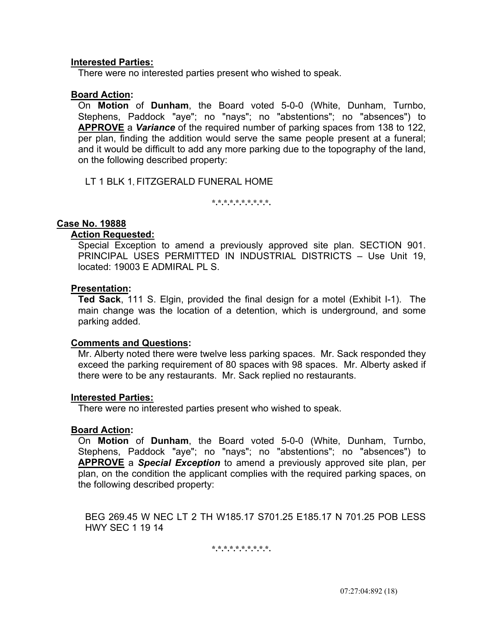### **Interested Parties:**

There were no interested parties present who wished to speak.

### **Board Action:**

 On **Motion** of **Dunham**, the Board voted 5-0-0 (White, Dunham, Turnbo, Stephens, Paddock "aye"; no "nays"; no "abstentions"; no "absences") to **APPROVE** a *Variance* of the required number of parking spaces from 138 to 122, per plan, finding the addition would serve the same people present at a funeral; and it would be difficult to add any more parking due to the topography of the land, on the following described property:

LT 1 BLK 1, FITZGERALD FUNERAL HOME

**\*.\*.\*.\*.\*.\*.\*.\*.\*.\*.** 

## **Case No. 19888**

### **Action Requested:**

 Special Exception to amend a previously approved site plan. SECTION 901. PRINCIPAL USES PERMITTED IN INDUSTRIAL DISTRICTS – Use Unit 19, located: 19003 E ADMIRAL PL S.

### **Presentation:**

 **Ted Sack**, 111 S. Elgin, provided the final design for a motel (Exhibit I-1). The main change was the location of a detention, which is underground, and some parking added.

### **Comments and Questions:**

 Mr. Alberty noted there were twelve less parking spaces. Mr. Sack responded they exceed the parking requirement of 80 spaces with 98 spaces. Mr. Alberty asked if there were to be any restaurants. Mr. Sack replied no restaurants.

### **Interested Parties:**

There were no interested parties present who wished to speak.

### **Board Action:**

 On **Motion** of **Dunham**, the Board voted 5-0-0 (White, Dunham, Turnbo, Stephens, Paddock "aye"; no "nays"; no "abstentions"; no "absences") to **APPROVE** a *Special Exception* to amend a previously approved site plan, per plan, on the condition the applicant complies with the required parking spaces, on the following described property:

BEG 269.45 W NEC LT 2 TH W185.17 S701.25 E185.17 N 701.25 POB LESS HWY SEC 1 19 14

**\*.\*.\*.\*.\*.\*.\*.\*.\*.\*.**